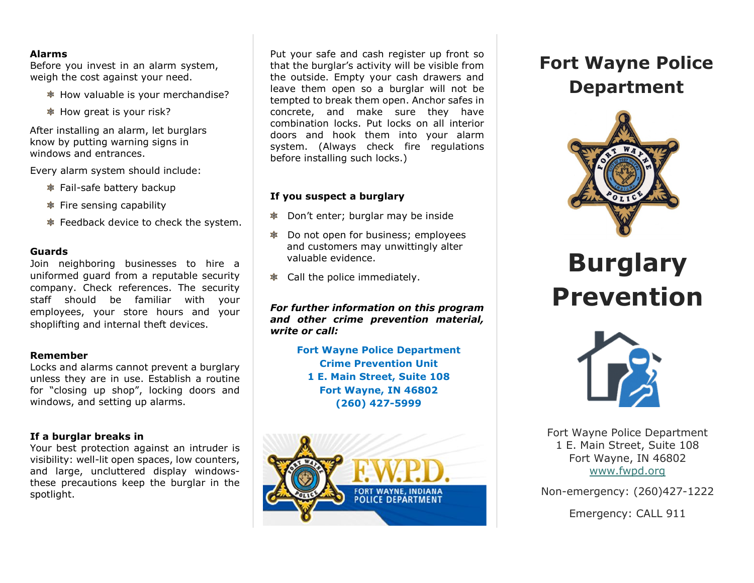#### **Alarms**

Before you invest in an alarm system, weigh the cost against your need.

- How valuable is your merchandise?
- **Example 15 Your risk?**

After installing an alarm, let burglars know by putting warning signs in windows and entrances.

Every alarm system should include:

- Fail-safe battery backup
- $\bullet$  Fire sensing capability
- Feedback device to check the system.

#### **Guards**

Join neighboring businesses to hire a uniformed guard from a reputable security company. Check references. The security staff should be familiar with your employees, your store hours and your shoplifting and internal theft devices.

#### **Remember**

Locks and alarms cannot prevent a burglary unless they are in use. Establish a routine for "closing up shop", locking doors and windows, and setting up alarms.

#### **If a burglar breaks in**

Your best protection against an intruder is visibility: well-lit open spaces, low counters, and large, uncluttered display windowsthese precautions keep the burglar in the spotlight.

Put your safe and cash register up front so that the burglar's activity will be visible from the outside. Empty your cash drawers and leave them open so a burglar will not be tempted to break them open. Anchor safes in concrete, and make sure they have combination locks. Put locks on all interior doors and hook them into your alarm system. (Always check fire regulations before installing such locks.)

#### **If you suspect a burglary**

- Don't enter; burglar may be inside
- $\bullet$  Do not open for business; employees and customers may unwittingly alter valuable evidence.
- $\bullet$  Call the police immediately.

*For further information on this program and other crime prevention material, write or call:*

> **Fort Wayne Police Department Crime Prevention Unit 1 E. Main Street, Suite 108 Fort Wayne, IN 46802 (260) 427-5999**



## **Fort Wayne Police Department**



# **Burglary Prevention**



Fort Wayne Police Department 1 E. Main Street, Suite 108 Fort Wayne, IN 46802 [www.fwpd.org](http://www.fwpd.org/)

Non-emergency: (260)427-1222

Emergency: CALL 911